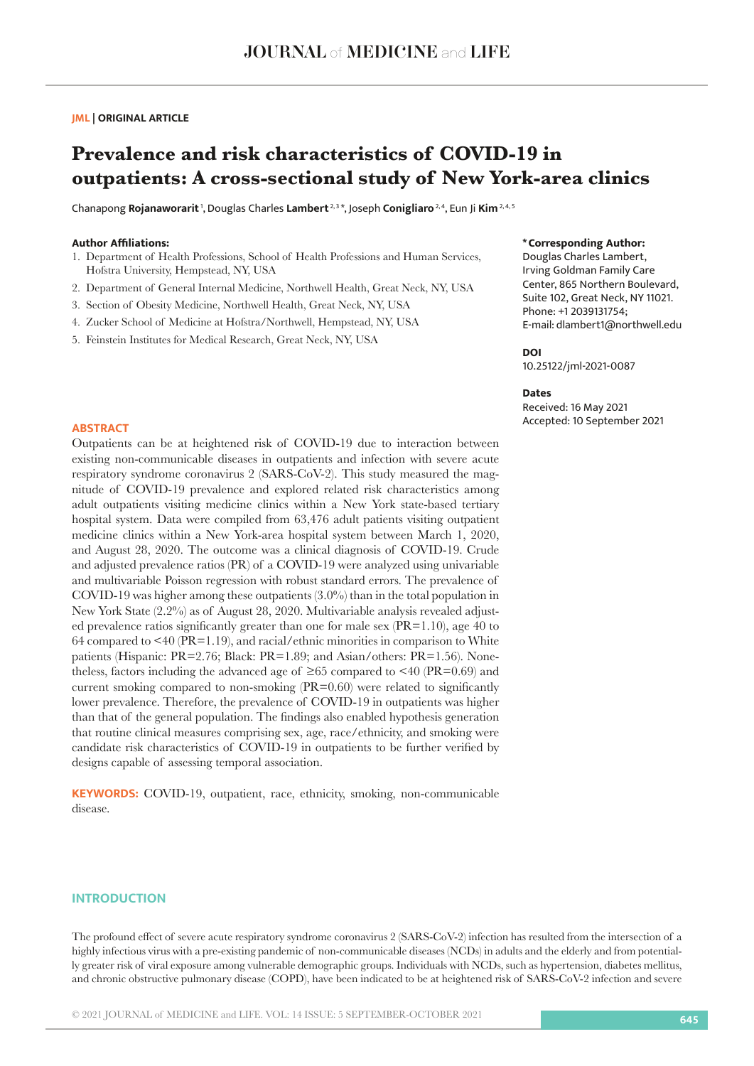# **JML | ORIGINAL ARTICLE**

# **Prevalence and risk characteristics of COVID-19 in outpatients: A cross-sectional study of New York-area clinics**

Chanapong **Rojanaworarit** 1, Douglas Charles **Lambert** 2, 3 \*, Joseph **Conigliaro** 2, 4, Eun Ji **Kim** 2, 4, 5

# **Author Affiliations:**

- 1. Department of Health Professions, School of Health Professions and Human Services, Hofstra University, Hempstead, NY, USA
- 2. Department of General Internal Medicine, Northwell Health, Great Neck, NY, USA
- 3. Section of Obesity Medicine, Northwell Health, Great Neck, NY, USA
- 4. Zucker School of Medicine at Hofstra/Northwell, Hempstead, NY, USA
- 5. Feinstein Institutes for Medical Research, Great Neck, NY, USA

# **\*Corresponding Author:**

Douglas Charles Lambert, Irving Goldman Family Care Center, 865 Northern Boulevard, Suite 102, Great Neck, NY 11021. Phone: +1 2039131754; E-mail: dlambert1@northwell.edu

# **DOI**

10.25122/jml-2021-0087

### **Dates**

Received: 16 May 2021 Accepted: 10 September 2021 **ABSTRACT**

Outpatients can be at heightened risk of COVID-19 due to interaction between existing non-communicable diseases in outpatients and infection with severe acute respiratory syndrome coronavirus 2 (SARS-CoV-2). This study measured the magnitude of COVID-19 prevalence and explored related risk characteristics among adult outpatients visiting medicine clinics within a New York state-based tertiary hospital system. Data were compiled from 63,476 adult patients visiting outpatient medicine clinics within a New York-area hospital system between March 1, 2020, and August 28, 2020. The outcome was a clinical diagnosis of COVID-19. Crude and adjusted prevalence ratios (PR) of a COVID-19 were analyzed using univariable and multivariable Poisson regression with robust standard errors. The prevalence of COVID-19 was higher among these outpatients (3.0%) than in the total population in New York State (2.2%) as of August 28, 2020. Multivariable analysis revealed adjusted prevalence ratios significantly greater than one for male sex (PR=1.10), age 40 to 64 compared to <40 (PR=1.19), and racial/ethnic minorities in comparison to White patients (Hispanic: PR=2.76; Black: PR=1.89; and Asian/others: PR=1.56). Nonetheless, factors including the advanced age of  $\geq 65$  compared to  $\leq 40$  (PR=0.69) and current smoking compared to non-smoking (PR=0.60) were related to significantly lower prevalence. Therefore, the prevalence of COVID-19 in outpatients was higher than that of the general population. The findings also enabled hypothesis generation that routine clinical measures comprising sex, age, race/ethnicity, and smoking were candidate risk characteristics of COVID-19 in outpatients to be further verified by designs capable of assessing temporal association.

**KEYWORDS:** COVID-19, outpatient, race, ethnicity, smoking, non-communicable disease.

# **INTRODUCTION**

The profound effect of severe acute respiratory syndrome coronavirus 2 (SARS-CoV-2) infection has resulted from the intersection of a highly infectious virus with a pre-existing pandemic of non-communicable diseases (NCDs) in adults and the elderly and from potentially greater risk of viral exposure among vulnerable demographic groups. Individuals with NCDs, such as hypertension, diabetes mellitus, and chronic obstructive pulmonary disease (COPD), have been indicated to be at heightened risk of SARS-CoV-2 infection and severe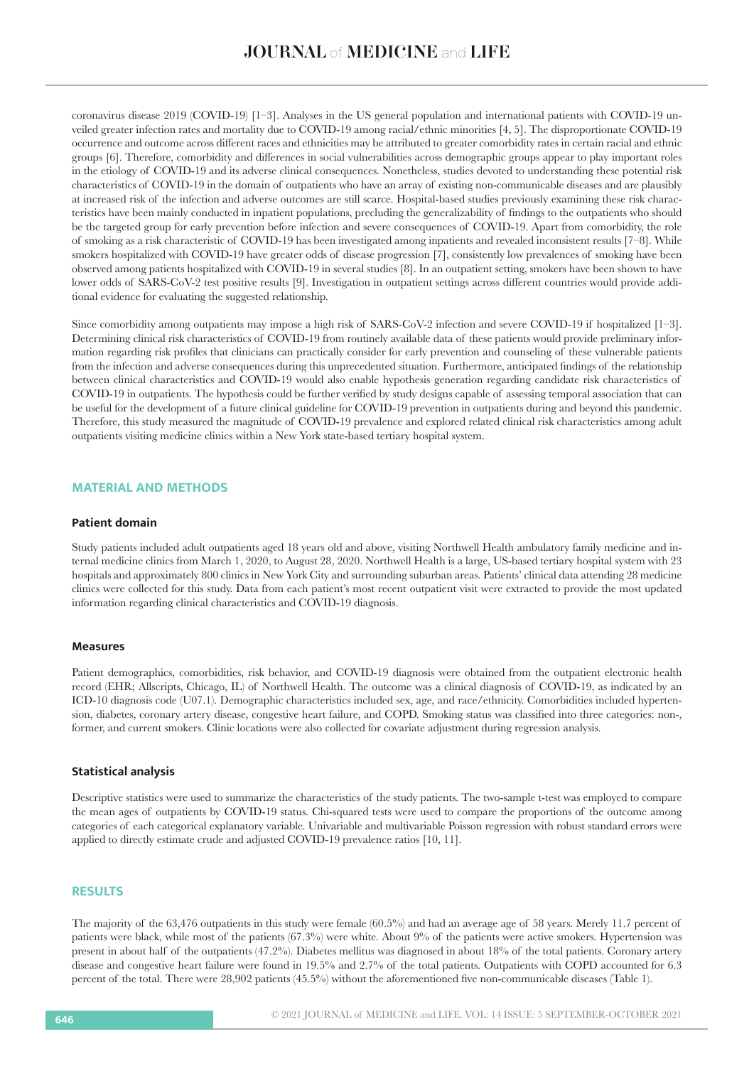coronavirus disease 2019 (COVID-19) [1–3]. Analyses in the US general population and international patients with COVID-19 unveiled greater infection rates and mortality due to COVID-19 among racial/ethnic minorities [4, 5]. The disproportionate COVID-19 occurrence and outcome across different races and ethnicities may be attributed to greater comorbidity rates in certain racial and ethnic groups [6]. Therefore, comorbidity and differences in social vulnerabilities across demographic groups appear to play important roles in the etiology of COVID-19 and its adverse clinical consequences. Nonetheless, studies devoted to understanding these potential risk characteristics of COVID-19 in the domain of outpatients who have an array of existing non-communicable diseases and are plausibly at increased risk of the infection and adverse outcomes are still scarce. Hospital-based studies previously examining these risk characteristics have been mainly conducted in inpatient populations, precluding the generalizability of findings to the outpatients who should be the targeted group for early prevention before infection and severe consequences of COVID-19. Apart from comorbidity, the role of smoking as a risk characteristic of COVID-19 has been investigated among inpatients and revealed inconsistent results [7–8]. While smokers hospitalized with COVID-19 have greater odds of disease progression [7], consistently low prevalences of smoking have been observed among patients hospitalized with COVID-19 in several studies [8]. In an outpatient setting, smokers have been shown to have lower odds of SARS-CoV-2 test positive results [9]. Investigation in outpatient settings across different countries would provide additional evidence for evaluating the suggested relationship.

Since comorbidity among outpatients may impose a high risk of SARS-CoV-2 infection and severe COVID-19 if hospitalized [1–3]. Determining clinical risk characteristics of COVID-19 from routinely available data of these patients would provide preliminary information regarding risk profiles that clinicians can practically consider for early prevention and counseling of these vulnerable patients from the infection and adverse consequences during this unprecedented situation. Furthermore, anticipated findings of the relationship between clinical characteristics and COVID-19 would also enable hypothesis generation regarding candidate risk characteristics of COVID-19 in outpatients. The hypothesis could be further verified by study designs capable of assessing temporal association that can be useful for the development of a future clinical guideline for COVID-19 prevention in outpatients during and beyond this pandemic. Therefore, this study measured the magnitude of COVID-19 prevalence and explored related clinical risk characteristics among adult outpatients visiting medicine clinics within a New York state-based tertiary hospital system.

# **MATERIAL AND METHODS**

# **Patient domain**

Study patients included adult outpatients aged 18 years old and above, visiting Northwell Health ambulatory family medicine and internal medicine clinics from March 1, 2020, to August 28, 2020. Northwell Health is a large, US-based tertiary hospital system with 23 hospitals and approximately 800 clinics in New York City and surrounding suburban areas. Patients' clinical data attending 28 medicine clinics were collected for this study. Data from each patient's most recent outpatient visit were extracted to provide the most updated information regarding clinical characteristics and COVID-19 diagnosis.

# **Measures**

Patient demographics, comorbidities, risk behavior, and COVID-19 diagnosis were obtained from the outpatient electronic health record (EHR; Allscripts, Chicago, IL) of Northwell Health. The outcome was a clinical diagnosis of COVID-19, as indicated by an ICD-10 diagnosis code (U07.1). Demographic characteristics included sex, age, and race/ethnicity. Comorbidities included hypertension, diabetes, coronary artery disease, congestive heart failure, and COPD. Smoking status was classified into three categories: non-, former, and current smokers. Clinic locations were also collected for covariate adjustment during regression analysis.

#### **Statistical analysis**

Descriptive statistics were used to summarize the characteristics of the study patients. The two-sample t-test was employed to compare the mean ages of outpatients by COVID-19 status. Chi-squared tests were used to compare the proportions of the outcome among categories of each categorical explanatory variable. Univariable and multivariable Poisson regression with robust standard errors were applied to directly estimate crude and adjusted COVID-19 prevalence ratios [10, 11].

# **RESULTS**

The majority of the 63,476 outpatients in this study were female (60.5%) and had an average age of 58 years. Merely 11.7 percent of patients were black, while most of the patients (67.3%) were white. About 9% of the patients were active smokers. Hypertension was present in about half of the outpatients (47.2%). Diabetes mellitus was diagnosed in about 18% of the total patients. Coronary artery disease and congestive heart failure were found in 19.5% and 2.7% of the total patients. Outpatients with COPD accounted for 6.3 percent of the total. There were 28,902 patients (45.5%) without the aforementioned five non-communicable diseases (Table 1).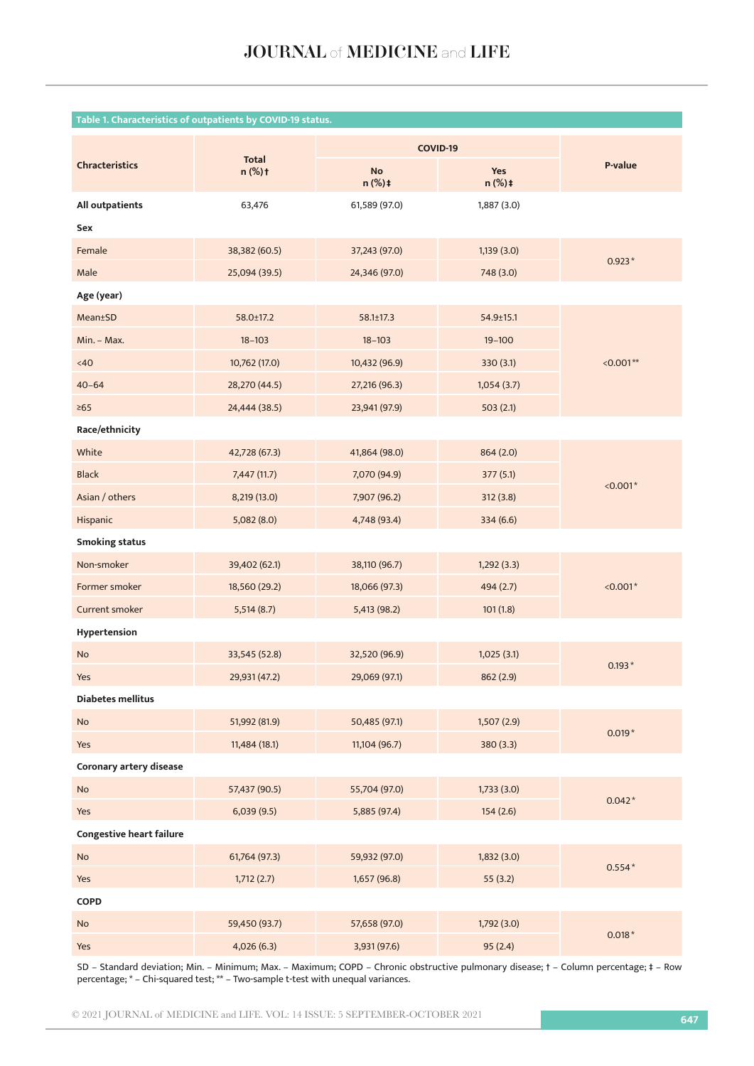| Table 1. Characteristics of outpatients by COVID-19 status. |                           |                             |                           |             |  |  |  |
|-------------------------------------------------------------|---------------------------|-----------------------------|---------------------------|-------------|--|--|--|
|                                                             |                           | COVID-19                    |                           |             |  |  |  |
| <b>Chracteristics</b>                                       | <b>Total</b><br>$n$ (%) t | <b>No</b><br>$n$ (%) $\pm$  | Yes<br>$n$ (%) $\ddagger$ | P-value     |  |  |  |
| All outpatients                                             | 63,476                    | 61,589 (97.0)               | 1,887 (3.0)               |             |  |  |  |
| Sex                                                         |                           |                             |                           |             |  |  |  |
| Female                                                      | 38,382 (60.5)             | 37,243 (97.0)               | 1,139(3.0)                |             |  |  |  |
| Male                                                        | 25,094 (39.5)             | 24,346 (97.0)               | 748 (3.0)                 | $0.923*$    |  |  |  |
| Age (year)                                                  |                           |                             |                           |             |  |  |  |
| <b>Mean</b> ±SD                                             | 58.0±17.2                 | $58.1 \pm 17.3$             | $54.9 \pm 15.1$           |             |  |  |  |
| Min. - Max.                                                 | $18 - 103$                | $18 - 103$                  | $19 - 100$                |             |  |  |  |
| $<40$                                                       | 10,762 (17.0)             | 10,432 (96.9)               | 330(3.1)                  | $< 0.001**$ |  |  |  |
| $40 - 64$                                                   | 28,270 (44.5)             | 27,216 (96.3)               | 1,054(3.7)                |             |  |  |  |
| $\geq 65$                                                   | 24,444 (38.5)             | 23,941 (97.9)               | 503(2.1)                  |             |  |  |  |
| Race/ethnicity                                              |                           |                             |                           |             |  |  |  |
| White                                                       | 42,728 (67.3)             | 41,864 (98.0)               | 864 (2.0)                 | $< 0.001*$  |  |  |  |
| <b>Black</b>                                                | 7,447 (11.7)              | 7,070 (94.9)                | 377 (5.1)                 |             |  |  |  |
| Asian / others                                              | 8,219 (13.0)              | 7,907 (96.2)                | 312(3.8)                  |             |  |  |  |
| Hispanic                                                    | 5,082 (8.0)               | 4,748 (93.4)                | 334 (6.6)                 |             |  |  |  |
| <b>Smoking status</b>                                       |                           |                             |                           |             |  |  |  |
| Non-smoker                                                  | 39,402 (62.1)             | 38,110 (96.7)               | 1,292(3.3)                |             |  |  |  |
| Former smoker                                               | 18,560 (29.2)             | 18,066 (97.3)               | 494 (2.7)                 | $< 0.001*$  |  |  |  |
| Current smoker                                              | 5,514(8.7)                | 5,413 (98.2)                | 101(1.8)                  |             |  |  |  |
| Hypertension                                                |                           |                             |                           |             |  |  |  |
| No                                                          | 33,545 (52.8)             | 32,520 (96.9)               | 1,025(3.1)                |             |  |  |  |
| Yes                                                         | 29,931 (47.2)             | 29,069 (97.1)               | 862 (2.9)                 | $0.193*$    |  |  |  |
| Diabetes mellitus                                           |                           |                             |                           |             |  |  |  |
| No                                                          | 51,992 (81.9)             | 50,485 (97.1)               | 1,507(2.9)                | $0.019*$    |  |  |  |
| Yes                                                         | 11,484 (18.1)             | 11,104 (96.7)               | 380 (3.3)                 |             |  |  |  |
| Coronary artery disease                                     |                           |                             |                           |             |  |  |  |
| No                                                          | 57,437 (90.5)             | 55,704 (97.0)               | 1,733(3.0)                | $0.042*$    |  |  |  |
| Yes                                                         | 6,039(9.5)                | 5,885 (97.4)                | 154(2.6)                  |             |  |  |  |
| <b>Congestive heart failure</b>                             |                           |                             |                           |             |  |  |  |
| No                                                          | 61,764 (97.3)             | 59,932 (97.0)<br>1,832(3.0) |                           |             |  |  |  |
| Yes                                                         | 1,712(2.7)                | 1,657(96.8)                 | 55(3.2)                   | $0.554*$    |  |  |  |
| COPD                                                        |                           |                             |                           |             |  |  |  |
| No                                                          | 59,450 (93.7)             | 57,658 (97.0)               | 1,792(3.0)                |             |  |  |  |
| Yes                                                         | 4,026 (6.3)               | 3,931 (97.6)                | 95(2.4)                   | $0.018*$    |  |  |  |

SD – Standard deviation; Min. – Minimum; Max. – Maximum; COPD – Chronic obstructive pulmonary disease; † – Column percentage; ‡ – Row percentage; \* – Chi-squared test; \*\* – Two-sample t-test with unequal variances.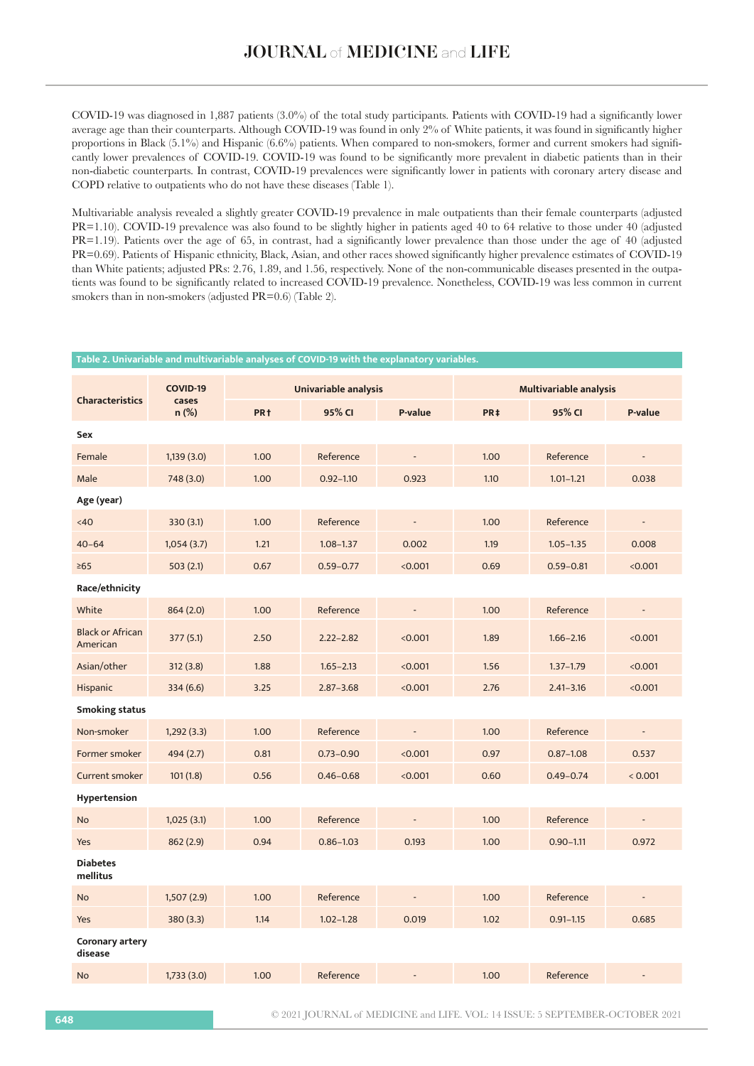COVID-19 was diagnosed in 1,887 patients (3.0%) of the total study participants. Patients with COVID-19 had a significantly lower average age than their counterparts. Although COVID-19 was found in only 2% of White patients, it was found in significantly higher proportions in Black (5.1%) and Hispanic (6.6%) patients. When compared to non-smokers, former and current smokers had significantly lower prevalences of COVID-19. COVID-19 was found to be significantly more prevalent in diabetic patients than in their non-diabetic counterparts. In contrast, COVID-19 prevalences were significantly lower in patients with coronary artery disease and COPD relative to outpatients who do not have these diseases (Table 1).

Multivariable analysis revealed a slightly greater COVID-19 prevalence in male outpatients than their female counterparts (adjusted PR=1.10). COVID-19 prevalence was also found to be slightly higher in patients aged 40 to 64 relative to those under 40 (adjusted PR=1.19). Patients over the age of 65, in contrast, had a significantly lower prevalence than those under the age of 40 (adjusted PR=0.69). Patients of Hispanic ethnicity, Black, Asian, and other races showed significantly higher prevalence estimates of COVID-19 than White patients; adjusted PRs: 2.76, 1.89, and 1.56, respectively. None of the non-communicable diseases presented in the outpatients was found to be significantly related to increased COVID-19 prevalence. Nonetheless, COVID-19 was less common in current smokers than in non-smokers (adjusted PR=0.6) (Table 2).

| Table 2. Univariable and multivariable analyses of COVID-19 with the explanatory variables. |                   |                      |               |                              |                               |               |                          |
|---------------------------------------------------------------------------------------------|-------------------|----------------------|---------------|------------------------------|-------------------------------|---------------|--------------------------|
| <b>Characteristics</b>                                                                      | COVID-19<br>cases | Univariable analysis |               |                              | <b>Multivariable analysis</b> |               |                          |
|                                                                                             | $n$ (%)           | PR <sub>†</sub>      | 95% CI        | P-value                      | PR <sub>‡</sub>               | 95% CI        | P-value                  |
| Sex                                                                                         |                   |                      |               |                              |                               |               |                          |
| Female                                                                                      | 1,139(3.0)        | 1.00                 | Reference     |                              | 1.00                          | Reference     |                          |
| Male                                                                                        | 748 (3.0)         | 1.00                 | $0.92 - 1.10$ | 0.923                        | 1.10                          | $1.01 - 1.21$ | 0.038                    |
| Age (year)                                                                                  |                   |                      |               |                              |                               |               |                          |
| <40                                                                                         | 330(3.1)          | 1.00                 | Reference     |                              | 1.00                          | Reference     |                          |
| $40 - 64$                                                                                   | 1,054(3.7)        | 1.21                 | $1.08 - 1.37$ | 0.002                        | 1.19                          | $1.05 - 1.35$ | 0.008                    |
| $\geq 65$                                                                                   | 503(2.1)          | 0.67                 | $0.59 - 0.77$ | < 0.001                      | 0.69                          | $0.59 - 0.81$ | < 0.001                  |
| Race/ethnicity                                                                              |                   |                      |               |                              |                               |               |                          |
| White                                                                                       | 864 (2.0)         | 1.00                 | Reference     | $\qquad \qquad \blacksquare$ | 1.00                          | Reference     | $\overline{\phantom{a}}$ |
| <b>Black or African</b><br>American                                                         | 377(5.1)          | 2.50                 | $2.22 - 2.82$ | < 0.001                      | 1.89                          | $1.66 - 2.16$ | < 0.001                  |
| Asian/other                                                                                 | 312(3.8)          | 1.88                 | $1.65 - 2.13$ | < 0.001                      | 1.56                          | $1.37 - 1.79$ | < 0.001                  |
| Hispanic                                                                                    | 334 (6.6)         | 3.25                 | $2.87 - 3.68$ | < 0.001                      | 2.76                          | $2.41 - 3.16$ | < 0.001                  |
| <b>Smoking status</b>                                                                       |                   |                      |               |                              |                               |               |                          |
| Non-smoker                                                                                  | 1,292(3.3)        | 1.00                 | Reference     |                              | 1.00                          | Reference     |                          |
| Former smoker                                                                               | 494 (2.7)         | 0.81                 | $0.73 - 0.90$ | < 0.001                      | 0.97                          | $0.87 - 1.08$ | 0.537                    |
| <b>Current smoker</b>                                                                       | 101(1.8)          | 0.56                 | $0.46 - 0.68$ | < 0.001                      | 0.60                          | $0.49 - 0.74$ | < 0.001                  |
| Hypertension                                                                                |                   |                      |               |                              |                               |               |                          |
| <b>No</b>                                                                                   | 1,025(3.1)        | 1.00                 | Reference     |                              | 1.00                          | Reference     |                          |
| Yes                                                                                         | 862 (2.9)         | 0.94                 | $0.86 - 1.03$ | 0.193                        | 1.00                          | $0.90 - 1.11$ | 0.972                    |
| <b>Diabetes</b><br>mellitus                                                                 |                   |                      |               |                              |                               |               |                          |
| <b>No</b>                                                                                   | 1,507(2.9)        | 1.00                 | Reference     |                              | 1.00                          | Reference     |                          |
| Yes                                                                                         | 380(3.3)          | 1.14                 | $1.02 - 1.28$ | 0.019                        | 1.02                          | $0.91 - 1.15$ | 0.685                    |
| Coronary artery<br>disease                                                                  |                   |                      |               |                              |                               |               |                          |
| <b>No</b>                                                                                   | 1,733(3.0)        | 1.00                 | Reference     |                              | 1.00                          | Reference     | $\overline{a}$           |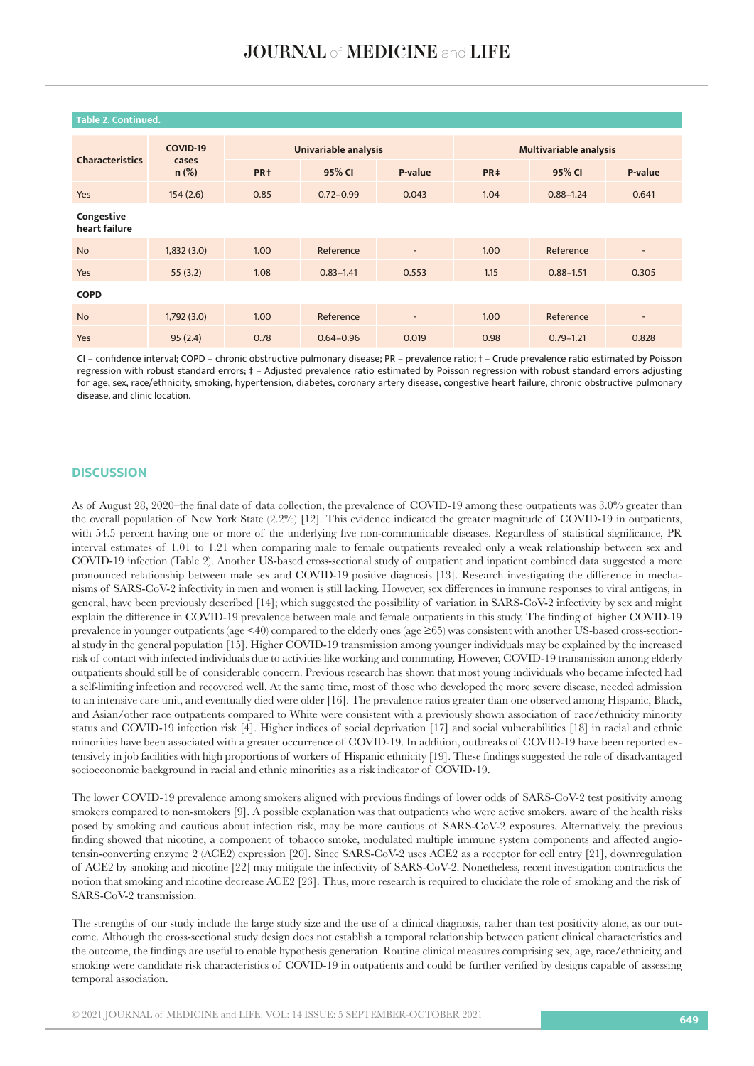| <b>COVID-19</b><br>cases<br>$n$ (%) | <b>Univariable analysis</b> |               |                          | <b>Multivariable analysis</b> |               |                          |
|-------------------------------------|-----------------------------|---------------|--------------------------|-------------------------------|---------------|--------------------------|
|                                     | PR <sub>†</sub>             | 95% CI        | P-value                  | PR <sub>‡</sub>               | 95% CI        | P-value                  |
| 154(2.6)                            | 0.85                        | $0.72 - 0.99$ | 0.043                    | 1.04                          | $0.88 - 1.24$ | 0.641                    |
|                                     |                             |               |                          |                               |               |                          |
| 1,832(3.0)                          | 1.00                        | Reference     | $\overline{\phantom{a}}$ | 1.00                          | Reference     | $\overline{\phantom{a}}$ |
| 55(3.2)                             | 1.08                        | $0.83 - 1.41$ | 0.553                    | 1.15                          | $0.88 - 1.51$ | 0.305                    |
|                                     |                             |               |                          |                               |               |                          |
| 1,792(3.0)                          | 1.00                        | Reference     | ٠                        | 1.00                          | Reference     | ٠                        |
| 95(2.4)                             | 0.78                        | $0.64 - 0.96$ | 0.019                    | 0.98                          | $0.79 - 1.21$ | 0.828                    |
|                                     |                             |               |                          |                               |               |                          |

# **Table 2. Continued.**

CI – confidence interval; COPD – chronic obstructive pulmonary disease; PR – prevalence ratio; † – Crude prevalence ratio estimated by Poisson regression with robust standard errors; ‡ – Adjusted prevalence ratio estimated by Poisson regression with robust standard errors adjusting for age, sex, race/ethnicity, smoking, hypertension, diabetes, coronary artery disease, congestive heart failure, chronic obstructive pulmonary disease, and clinic location.

#### **DISCUSSION**

As of August 28, 2020–the final date of data collection, the prevalence of COVID-19 among these outpatients was 3.0% greater than the overall population of New York State (2.2%) [12]. This evidence indicated the greater magnitude of COVID-19 in outpatients, with 54.5 percent having one or more of the underlying five non-communicable diseases. Regardless of statistical significance, PR interval estimates of 1.01 to 1.21 when comparing male to female outpatients revealed only a weak relationship between sex and COVID-19 infection (Table 2). Another US-based cross-sectional study of outpatient and inpatient combined data suggested a more pronounced relationship between male sex and COVID-19 positive diagnosis [13]. Research investigating the difference in mechanisms of SARS-CoV-2 infectivity in men and women is still lacking. However, sex differences in immune responses to viral antigens, in general, have been previously described [14]; which suggested the possibility of variation in SARS-CoV-2 infectivity by sex and might explain the difference in COVID-19 prevalence between male and female outpatients in this study. The finding of higher COVID-19 prevalence in younger outpatients (age <40) compared to the elderly ones (age ≥65) was consistent with another US-based cross-sectional study in the general population [15]. Higher COVID-19 transmission among younger individuals may be explained by the increased risk of contact with infected individuals due to activities like working and commuting. However, COVID-19 transmission among elderly outpatients should still be of considerable concern. Previous research has shown that most young individuals who became infected had a self-limiting infection and recovered well. At the same time, most of those who developed the more severe disease, needed admission to an intensive care unit, and eventually died were older [16]. The prevalence ratios greater than one observed among Hispanic, Black, and Asian/other race outpatients compared to White were consistent with a previously shown association of race/ethnicity minority status and COVID-19 infection risk [4]. Higher indices of social deprivation [17] and social vulnerabilities [18] in racial and ethnic minorities have been associated with a greater occurrence of COVID-19. In addition, outbreaks of COVID-19 have been reported extensively in job facilities with high proportions of workers of Hispanic ethnicity [19]. These findings suggested the role of disadvantaged socioeconomic background in racial and ethnic minorities as a risk indicator of COVID-19.

The lower COVID-19 prevalence among smokers aligned with previous findings of lower odds of SARS-CoV-2 test positivity among smokers compared to non-smokers [9]. A possible explanation was that outpatients who were active smokers, aware of the health risks posed by smoking and cautious about infection risk, may be more cautious of SARS-CoV-2 exposures. Alternatively, the previous finding showed that nicotine, a component of tobacco smoke, modulated multiple immune system components and affected angiotensin-converting enzyme 2 (ACE2) expression [20]. Since SARS-CoV-2 uses ACE2 as a receptor for cell entry [21], downregulation of ACE2 by smoking and nicotine [22] may mitigate the infectivity of SARS-CoV-2. Nonetheless, recent investigation contradicts the notion that smoking and nicotine decrease ACE2 [23]. Thus, more research is required to elucidate the role of smoking and the risk of SARS-CoV-2 transmission.

The strengths of our study include the large study size and the use of a clinical diagnosis, rather than test positivity alone, as our outcome. Although the cross-sectional study design does not establish a temporal relationship between patient clinical characteristics and the outcome, the findings are useful to enable hypothesis generation. Routine clinical measures comprising sex, age, race/ethnicity, and smoking were candidate risk characteristics of COVID-19 in outpatients and could be further verified by designs capable of assessing temporal association.